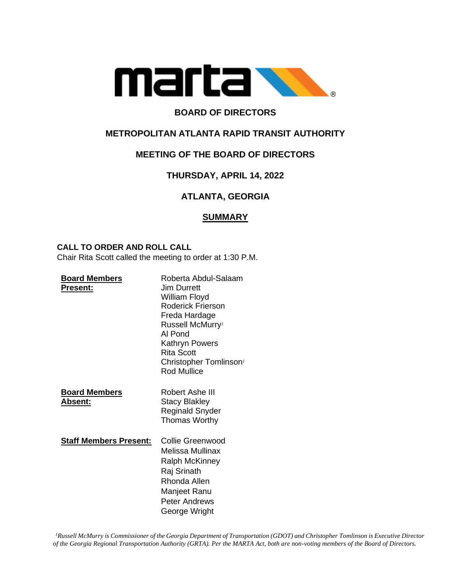

# **BOARD OF DIRECTORS**

# **METROPOLITAN ATLANTA RAPID TRANSIT AUTHORITY**

# **MEETING OF THE BOARD OF DIRECTORS**

# **THURSDAY, APRIL 14, 2022**

# **ATLANTA, GEORGIA**

# **SUMMARY**

### **CALL TO ORDER AND ROLL CALL**

Chair Rita Scott called the meeting to order at 1:30 P.M.

| <b>Board Members</b><br><u> Present:</u> | Roberta Abdul-Salaam<br><b>Jim Durrett</b><br>William Floyd<br><b>Roderick Frierson</b><br>Freda Hardage<br>Russell McMurry <sup>1</sup><br>Al Pond<br>Kathryn Powers<br>Rita Scott<br>Christopher Tomlinson <sup>1</sup><br><b>Rod Mullice</b> |
|------------------------------------------|-------------------------------------------------------------------------------------------------------------------------------------------------------------------------------------------------------------------------------------------------|
| <b>Board Members</b><br><b>Absent:</b>   | Robert Ashe III<br><b>Stacy Blakley</b><br>Reginald Snyder<br><b>Thomas Worthy</b>                                                                                                                                                              |
| <b>Staff Members Present:</b>            | Collie Greenwood<br>Melissa Mullinax<br><b>Ralph McKinney</b><br>Raj Srinath<br>Rhonda Allen<br>Manjeet Ranu<br><b>Peter Andrews</b><br>George Wright                                                                                           |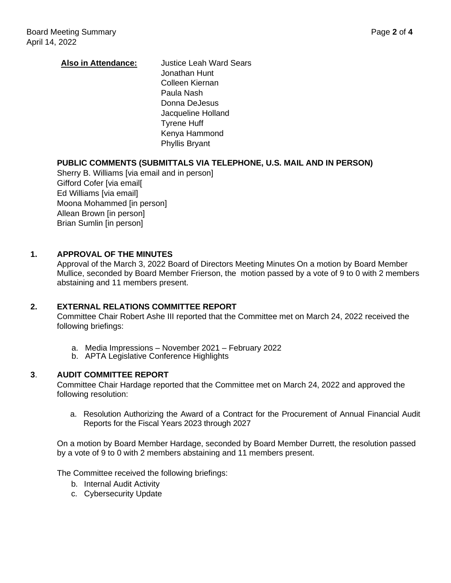## **Also in Attendance:** Justice Leah Ward Sears Jonathan Hunt Colleen Kiernan Paula Nash Donna DeJesus Jacqueline Holland Tyrene Huff Kenya Hammond Phyllis Bryant

## **PUBLIC COMMENTS (SUBMITTALS VIA TELEPHONE, U.S. MAIL AND IN PERSON)**

Sherry B. Williams [via email and in person] Gifford Cofer [via email[ Ed Williams [via email] Moona Mohammed [in person] Allean Brown [in person] Brian Sumlin [in person]

## **1. APPROVAL OF THE MINUTES**

Approval of the March 3, 2022 Board of Directors Meeting Minutes On a motion by Board Member Mullice, seconded by Board Member Frierson, the motion passed by a vote of 9 to 0 with 2 members abstaining and 11 members present.

### **2. EXTERNAL RELATIONS COMMITTEE REPORT**

Committee Chair Robert Ashe III reported that the Committee met on March 24, 2022 received the following briefings:

- a. Media Impressions November 2021 February 2022
- b. APTA Legislative Conference Highlights

### **3**. **AUDIT COMMITTEE REPORT**

Committee Chair Hardage reported that the Committee met on March 24, 2022 and approved the following resolution:

a. Resolution Authorizing the Award of a Contract for the Procurement of Annual Financial Audit Reports for the Fiscal Years 2023 through 2027

On a motion by Board Member Hardage, seconded by Board Member Durrett, the resolution passed by a vote of 9 to 0 with 2 members abstaining and 11 members present.

The Committee received the following briefings:

- b. Internal Audit Activity
- c. Cybersecurity Update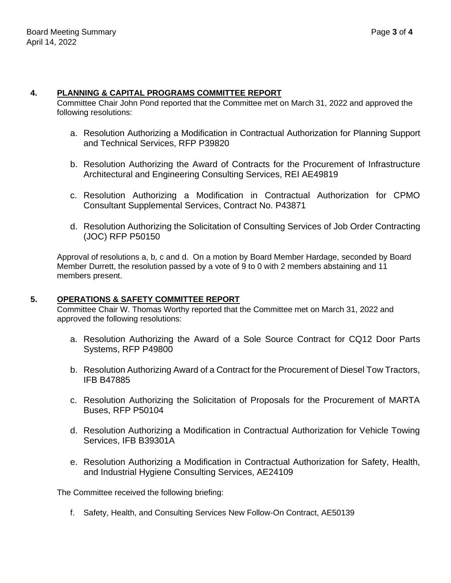### **4. PLANNING & CAPITAL PROGRAMS COMMITTEE REPORT**

Committee Chair John Pond reported that the Committee met on March 31, 2022 and approved the following resolutions:

- a. Resolution Authorizing a Modification in Contractual Authorization for Planning Support and Technical Services, RFP P39820
- b. Resolution Authorizing the Award of Contracts for the Procurement of Infrastructure Architectural and Engineering Consulting Services, REI AE49819
- c. Resolution Authorizing a Modification in Contractual Authorization for CPMO Consultant Supplemental Services, Contract No. P43871
- d. Resolution Authorizing the Solicitation of Consulting Services of Job Order Contracting (JOC) RFP P50150

Approval of resolutions a, b, c and d. On a motion by Board Member Hardage, seconded by Board Member Durrett, the resolution passed by a vote of 9 to 0 with 2 members abstaining and 11 members present.

### **5. OPERATIONS & SAFETY COMMITTEE REPORT**

Committee Chair W. Thomas Worthy reported that the Committee met on March 31, 2022 and approved the following resolutions:

- a. Resolution Authorizing the Award of a Sole Source Contract for CQ12 Door Parts Systems, RFP P49800
- b. Resolution Authorizing Award of a Contract for the Procurement of Diesel Tow Tractors, IFB B47885
- c. Resolution Authorizing the Solicitation of Proposals for the Procurement of MARTA Buses, RFP P50104
- d. Resolution Authorizing a Modification in Contractual Authorization for Vehicle Towing Services, IFB B39301A
- e. Resolution Authorizing a Modification in Contractual Authorization for Safety, Health, and Industrial Hygiene Consulting Services, AE24109

The Committee received the following briefing:

f. Safety, Health, and Consulting Services New Follow-On Contract, AE50139